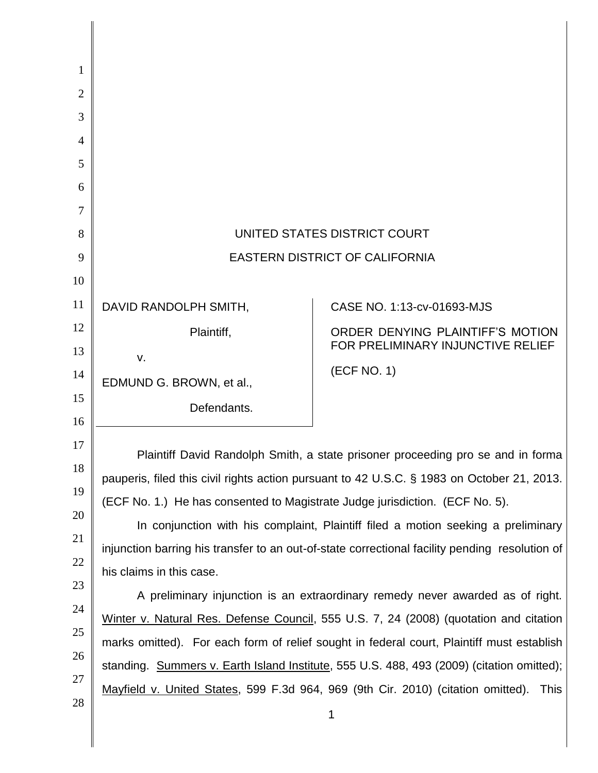| 1              |                                                                                                |                                   |
|----------------|------------------------------------------------------------------------------------------------|-----------------------------------|
| $\overline{2}$ |                                                                                                |                                   |
| 3              |                                                                                                |                                   |
| 4              |                                                                                                |                                   |
| 5              |                                                                                                |                                   |
| 6              |                                                                                                |                                   |
| 7              |                                                                                                |                                   |
| 8              | UNITED STATES DISTRICT COURT                                                                   |                                   |
| 9              | <b>EASTERN DISTRICT OF CALIFORNIA</b>                                                          |                                   |
| 10             |                                                                                                |                                   |
| 11             | DAVID RANDOLPH SMITH,                                                                          | CASE NO. 1:13-cv-01693-MJS        |
| 12             | Plaintiff,                                                                                     | ORDER DENYING PLAINTIFF'S MOTION  |
| 13             | V.                                                                                             | FOR PRELIMINARY INJUNCTIVE RELIEF |
| 14             | EDMUND G. BROWN, et al.,                                                                       | (ECF NO. 1)                       |
| 15             | Defendants.                                                                                    |                                   |
| 16             |                                                                                                |                                   |
| 17             | Plaintiff David Randolph Smith, a state prisoner proceeding pro se and in forma                |                                   |
| 18             | pauperis, filed this civil rights action pursuant to 42 U.S.C. § 1983 on October 21, 2013.     |                                   |
| 19             | (ECF No. 1.) He has consented to Magistrate Judge jurisdiction. (ECF No. 5).                   |                                   |
| 20<br>21       | In conjunction with his complaint, Plaintiff filed a motion seeking a preliminary              |                                   |
| 22             | injunction barring his transfer to an out-of-state correctional facility pending resolution of |                                   |
| 23             | his claims in this case.                                                                       |                                   |
| 24             | A preliminary injunction is an extraordinary remedy never awarded as of right.                 |                                   |
| 25             | Winter v. Natural Res. Defense Council, 555 U.S. 7, 24 (2008) (quotation and citation          |                                   |
| 26             | marks omitted). For each form of relief sought in federal court, Plaintiff must establish      |                                   |
| 27             | standing. Summers v. Earth Island Institute, 555 U.S. 488, 493 (2009) (citation omitted);      |                                   |
| 28             | Mayfield v. United States, 599 F.3d 964, 969 (9th Cir. 2010) (citation omitted).<br>This       |                                   |
|                |                                                                                                | 1                                 |

I